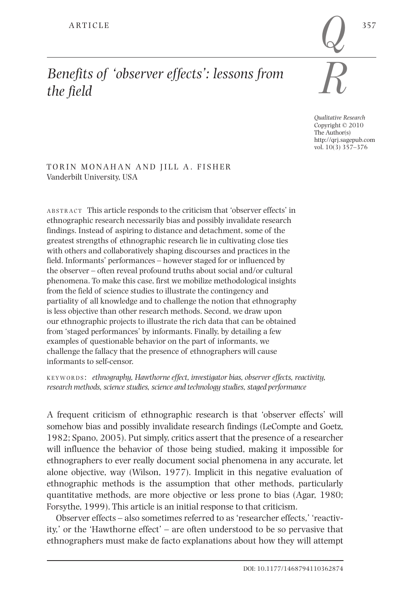*Qualitative Research* Copyright © 2010 The Author(s) http://qrj.sagepub.com vol.  $10(3)$   $357-376$ 

TORIN MONAHAN AND JILL A. FISHER Vanderbilt University, USA

ABSTRACT This article responds to the criticism that 'observer effects' in ethnographic research necessarily bias and possibly invalidate research findings. Instead of aspiring to distance and detachment, some of the greatest strengths of ethnographic research lie in cultivating close ties with others and collaboratively shaping discourses and practices in the field. Informants' performances – however staged for or influenced by the observer – often reveal profound truths about social and/or cultural phenomena. To make this case, first we mobilize methodological insights from the field of science studies to illustrate the contingency and partiality of all knowledge and to challenge the notion that ethnography is less objective than other research methods. Second, we draw upon our ethnographic projects to illustrate the rich data that can be obtained from 'staged performances' by informants. Finally, by detailing a few examples of questionable behavior on the part of informants, we challenge the fallacy that the presence of ethnographers will cause informants to self-censor.

<sup>K</sup> <sup>E</sup> <sup>Y</sup> WO <sup>R</sup> <sup>D</sup> <sup>S</sup> : *ethnography, Hawthorne effect, investigator bias, observer effects, reactivity, research methods, science studies, science and technology studies, staged performance*

A frequent criticism of ethnographic research is that 'observer effects' will somehow bias and possibly invalidate research findings (LeCompte and Goetz, 1982; Spano, 2005). Put simply, critics assert that the presence of a researcher will influence the behavior of those being studied, making it impossible for ethnographers to ever really document social phenomena in any accurate, let alone objective, way (Wilson, 1977). Implicit in this negative evaluation of ethnographic methods is the assumption that other methods, particularly quantitative methods, are more objective or less prone to bias (Agar, 1980; Forsythe, 1999). This article is an initial response to that criticism.

Observer effects – also sometimes referred to as 'researcher effects,' 'reactivity,' or the 'Hawthorne effect' – are often understood to be so pervasive that ethnographers must make de facto explanations about how they will attempt

*Q*

*R*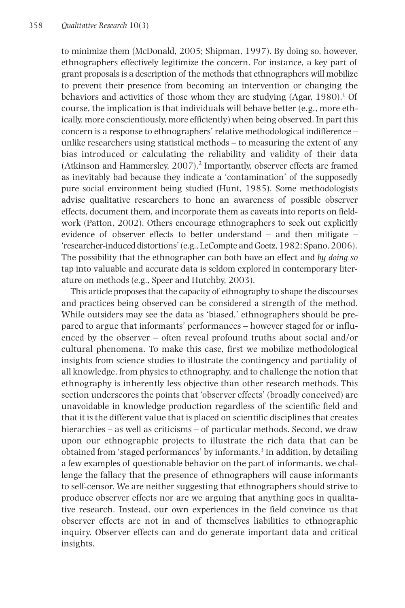to minimize them (McDonald, 2005; Shipman, 1997). By doing so, however, ethnographers effectively legitimize the concern. For instance, a key part of grant proposals is a description of the methods that ethnographers will mobilize to prevent their presence from becoming an intervention or changing the behaviors and activities of those whom they are studying (Agar, 1980).<sup>1</sup> Of course, the implication is that individuals will behave better (e.g., more ethically, more conscientiously, more efficiently) when being observed. In part this concern is a response to ethnographers' relative methodological indifference – unlike researchers using statistical methods – to measuring the extent of any bias introduced or calculating the reliability and validity of their data (Atkinson and Hammersley, 2007). <sup>2</sup> Importantly, observer effects are framed as inevitably bad because they indicate a 'contamination' of the supposedly pure social environment being studied (Hunt, 1985). Some methodologists advise qualitative researchers to hone an awareness of possible observer effects, document them, and incorporate them as caveats into reports on fieldwork (Patton, 2002). Others encourage ethnographers to seek out explicitly evidence of observer effects to better understand – and then mitigate – 'researcher-induced distortions' (e.g., LeCompte and Goetz, 1982; Spano, 2006). The possibility that the ethnographer can both have an effect and *by doing so* tap into valuable and accurate data is seldom explored in contemporary literature on methods (e.g., Speer and Hutchby, 2003).

This article proposes that the capacity of ethnography to shape the discourses and practices being observed can be considered a strength of the method. While outsiders may see the data as 'biased,' ethnographers should be prepared to argue that informants' performances – however staged for or influenced by the observer – often reveal profound truths about social and/or cultural phenomena. To make this case, first we mobilize methodological insights from science studies to illustrate the contingency and partiality of all knowledge, from physics to ethnography, and to challenge the notion that ethnography is inherently less objective than other research methods. This section underscores the points that 'observer effects' (broadly conceived) are unavoidable in knowledge production regardless of the scientific field and that it is the different value that is placed on scientific disciplines that creates hierarchies – as well as criticisms – of particular methods. Second, we draw upon our ethnographic projects to illustrate the rich data that can be obtained from 'staged performances' by informants. <sup>3</sup> In addition, by detailing a few examples of questionable behavior on the part of informants, we challenge the fallacy that the presence of ethnographers will cause informants to self-censor. We are neither suggesting that ethnographers should strive to produce observer effects nor are we arguing that anything goes in qualitative research. Instead, our own experiences in the field convince us that observer effects are not in and of themselves liabilities to ethnographic inquiry. Observer effects can and do generate important data and critical insights.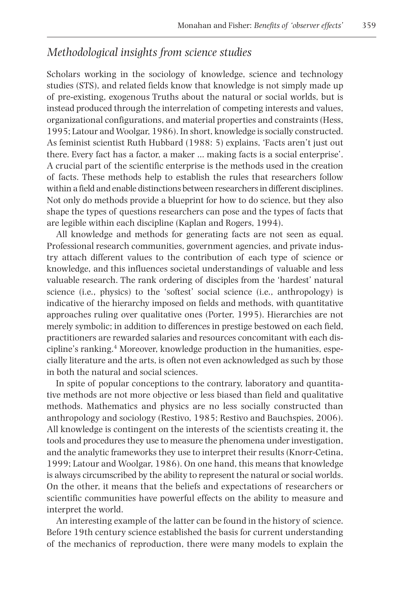## *Methodological insights from science studies*

Scholars working in the sociology of knowledge, science and technology studies (STS), and related fields know that knowledge is not simply made up of pre-existing, exogenous Truths about the natural or social worlds, but is instead produced through the interrelation of competing interests and values, organizational configurations, and material properties and constraints (Hess, 1995; Latour and Woolgar, 1986). In short, knowledge issocially constructed. As feminist scientist Ruth Hubbard (1988: 5) explains, 'Facts aren't just out there. Every fact has a factor, a maker … making facts is a social enterprise'. A crucial part of the scientific enterprise is the methods used in the creation of facts. These methods help to establish the rules that researchers follow within a field and enable distinctions between researchersin different disciplines. Not only do methods provide a blueprint for how to do science, but they also shape the types of questions researchers can pose and the types of facts that are legible within each discipline (Kaplan and Rogers, 1994).

All knowledge and methods for generating facts are not seen as equal. Professional research communities, government agencies, and private industry attach different values to the contribution of each type of science or knowledge, and this influences societal understandings of valuable and less valuable research. The rank ordering of disciples from the 'hardest' natural science (i.e., physics) to the 'softest' social science (i.e., anthropology) is indicative of the hierarchy imposed on fields and methods, with quantitative approaches ruling over qualitative ones (Porter, 1995). Hierarchies are not merely symbolic; in addition to differences in prestige bestowed on each field, practitioners are rewarded salaries and resources concomitant with each discipline's ranking. <sup>4</sup> Moreover, knowledge production in the humanities, especially literature and the arts, is often not even acknowledged as such by those in both the natural and social sciences.

In spite of popular conceptions to the contrary, laboratory and quantitative methods are not more objective or less biased than field and qualitative methods. Mathematics and physics are no less socially constructed than anthropology and sociology (Restivo, 1985; Restivo and Bauchspies, 2006). All knowledge is contingent on the interests of the scientists creating it, the tools and procedures they use to measure the phenomena under investigation, and the analytic frameworks they use to interpret their results (Knorr-Cetina, 1999; Latour and Woolgar, 1986). On one hand, this means that knowledge is always circumscribed by the ability to represent the natural or social worlds. On the other, it means that the beliefs and expectations of researchers or scientific communities have powerful effects on the ability to measure and interpret the world.

An interesting example of the latter can be found in the history of science. Before 19th century science established the basis for current understanding of the mechanics of reproduction, there were many models to explain the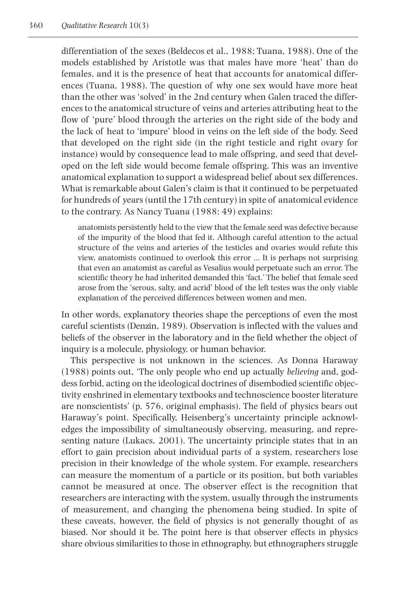differentiation of the sexes (Beldecos et al., 1988; Tuana, 1988). One of the models established by Aristotle was that males have more 'heat' than do females, and it is the presence of heat that accounts for anatomical differences (Tuana, 1988). The question of why one sex would have more heat than the other was 'solved' in the 2nd century when Galen traced the differences to the anatomical structure of veins and arteries attributing heat to the flow of 'pure' blood through the arteries on the right side of the body and the lack of heat to 'impure' blood in veins on the left side of the body. Seed that developed on the right side (in the right testicle and right ovary for instance) would by consequence lead to male offspring, and seed that developed on the left side would become female offspring. This was an inventive anatomical explanation to support a widespread belief about sex differences. What is remarkable about Galen's claim is that it continued to be perpetuated for hundreds of years (until the 17th century) in spite of anatomical evidence to the contrary. As Nancy Tuana (1988: 49) explains:

anatomists persistently held to the view that the female seed was defective because of the impurity of the blood that fed it. Although careful attention to the actual structure of the veins and arteries of the testicles and ovaries would refute this view, anatomists continued to overlook this error … It is perhaps not surprising that even an anatomist as careful as Vesalius would perpetuate such an error. The scientific theory he had inherited demanded this 'fact.' The belief that female seed arose from the 'serous, salty, and acrid' blood of the left testes was the only viable explanation of the perceived differences between women and men.

In other words, explanatory theories shape the perceptions of even the most careful scientists (Denzin, 1989). Observation is inflected with the values and beliefs of the observer in the laboratory and in the field whether the object of inquiry is a molecule, physiology, or human behavior.

This perspective is not unknown in the sciences. As Donna Haraway (1988) points out, 'The only people who end up actually *believing* and, goddess forbid, acting on the ideological doctrines of disembodied scientific objectivity enshrined in elementary textbooks and technoscience booster literature are nonscientists' (p. 576, original emphasis). The field of physics bears out Haraway's point. Specifically, Heisenberg's uncertainty principle acknowledges the impossibility of simultaneously observing, measuring, and representing nature (Lukacs, 2001). The uncertainty principle states that in an effort to gain precision about individual parts of a system, researchers lose precision in their knowledge of the whole system. For example, researchers can measure the momentum of a particle or its position, but both variables cannot be measured at once. The observer effect is the recognition that researchers are interacting with the system, usually through the instruments of measurement, and changing the phenomena being studied. In spite of these caveats, however, the field of physics is not generally thought of as biased. Nor should it be. The point here is that observer effects in physics share obvious similarities to those in ethnography, but ethnographers struggle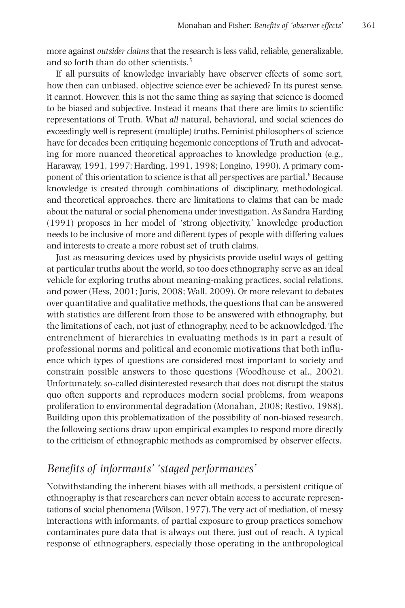more against *outsider claims* that the research is less valid, reliable, generalizable, and so forth than do other scientists. 5

If all pursuits of knowledge invariably have observer effects of some sort, how then can unbiased, objective science ever be achieved? In its purest sense, it cannot. However, this is not the same thing as saying that science is doomed to be biased and subjective. Instead it means that there are limits to scientific representations of Truth. What *all* natural, behavioral, and social sciences do exceedingly well is represent (multiple) truths. Feminist philosophers of science have for decades been critiquing hegemonic conceptions of Truth and advocating for more nuanced theoretical approaches to knowledge production (e.g., Haraway, 1991, 1997; Harding, 1991, 1998; Longino, 1990). A primary component of this orientation to science isthat all perspectives are partial. <sup>6</sup> Because knowledge is created through combinations of disciplinary, methodological, and theoretical approaches, there are limitations to claims that can be made about the natural or social phenomena under investigation. As Sandra Harding (1991) proposes in her model of 'strong objectivity,' knowledge production needs to be inclusive of more and different types of people with differing values and interests to create a more robust set of truth claims.

Just as measuring devices used by physicists provide useful ways of getting at particular truths about the world, so too does ethnography serve as an ideal vehicle for exploring truths about meaning-making practices, social relations, and power (Hess, 2001; Juris, 2008; Wall, 2009). Or more relevant to debates over quantitative and qualitative methods, the questions that can be answered with statistics are different from those to be answered with ethnography, but the limitations of each, not just of ethnography, need to be acknowledged. The entrenchment of hierarchies in evaluating methods is in part a result of professional norms and political and economic motivations that both influence which types of questions are considered most important to society and constrain possible answers to those questions (Woodhouse et al., 2002). Unfortunately, so-called disinterested research that does not disrupt the status quo often supports and reproduces modern social problems, from weapons proliferation to environmental degradation (Monahan, 2008; Restivo, 1988). Building upon this problematization of the possibility of non-biased research, the following sections draw upon empirical examples to respond more directly to the criticism of ethnographic methods as compromised by observer effects.

# *Benefits of informants' 'staged performances'*

Notwithstanding the inherent biases with all methods, a persistent critique of ethnography is that researchers can never obtain access to accurate representations of social phenomena (Wilson, 1977).The very act of mediation, of messy interactions with informants, of partial exposure to group practices somehow contaminates pure data that is always out there, just out of reach. A typical response of ethnographers, especially those operating in the anthropological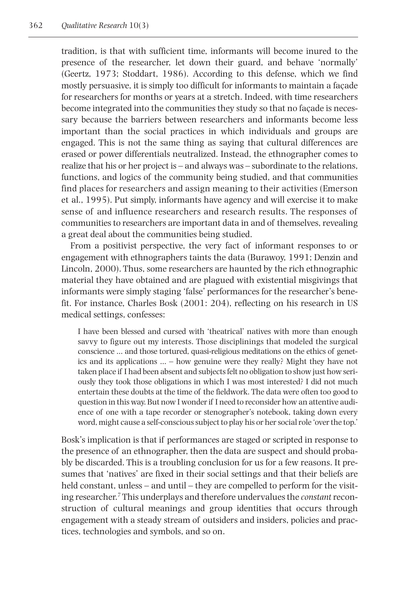tradition, is that with sufficient time, informants will become inured to the presence of the researcher, let down their guard, and behave 'normally' (Geertz, 1973; Stoddart, 1986). According to this defense, which we find mostly persuasive, it is simply too difficult for informants to maintain a façade for researchers for months or years at a stretch. Indeed, with time researchers become integrated into the communities they study so that no façade is necessary because the barriers between researchers and informants become less important than the social practices in which individuals and groups are engaged. This is not the same thing as saying that cultural differences are erased or power differentials neutralized. Instead, the ethnographer comes to realize that his or her project is – and always was – subordinate to the relations, functions, and logics of the community being studied, and that communities find places for researchers and assign meaning to their activities (Emerson et al., 1995). Put simply, informants have agency and will exercise it to make sense of and influence researchers and research results. The responses of communities to researchers are important data in and of themselves, revealing a great deal about the communities being studied.

From a positivist perspective, the very fact of informant responses to or engagement with ethnographers taints the data (Burawoy, 1991; Denzin and Lincoln, 2000). Thus, some researchers are haunted by the rich ethnographic material they have obtained and are plagued with existential misgivings that informants were simply staging 'false' performances for the researcher's benefit. For instance, Charles Bosk (2001: 204), reflecting on his research in US medical settings, confesses:

I have been blessed and cursed with 'theatrical' natives with more than enough savvy to figure out my interests. Those disciplinings that modeled the surgical conscience … and those tortured, quasi-religious meditations on the ethics of genetics and its applications … – how genuine were they really? Might they have not taken place if I had been absent and subjects felt no obligation to show just how seriously they took those obligations in which I was most interested? I did not much entertain these doubts at the time of the fieldwork. The data were often too good to question in this way. But now I wonderif I need to reconsider how an attentive audience of one with a tape recorder or stenographer's notebook, taking down every word, might cause a self-conscious subject to play his or her social role 'over the top.'

Bosk's implication is that if performances are staged or scripted in response to the presence of an ethnographer, then the data are suspect and should probably be discarded. This is a troubling conclusion for us for a few reasons. It presumes that 'natives' are fixed in their social settings and that their beliefs are held constant, unless – and until – they are compelled to perform for the visiting researcher. <sup>7</sup> This underplays and therefore undervaluesthe *constant*reconstruction of cultural meanings and group identities that occurs through engagement with a steady stream of outsiders and insiders, policies and practices, technologies and symbols, and so on.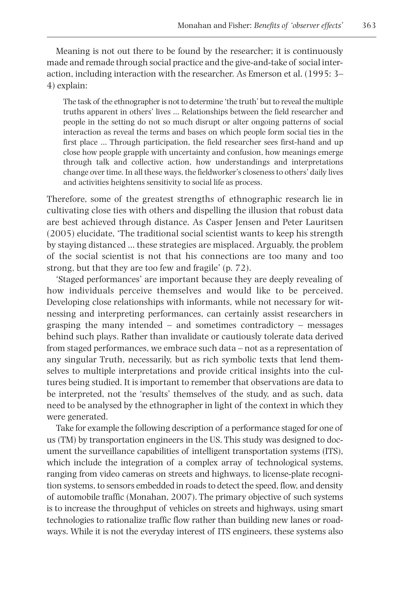Meaning is not out there to be found by the researcher; it is continuously made and remade through social practice and the give-and-take of social interaction, including interaction with the researcher. As Emerson et al. (1995: 3– 4) explain:

The task of the ethnographer is not to determine 'the truth' but to reveal the multiple truths apparent in others' lives … Relationships between the field researcher and people in the setting do not so much disrupt or alter ongoing patterns of social interaction as reveal the terms and bases on which people form social ties in the first place … Through participation, the field researcher sees first-hand and up close how people grapple with uncertainty and confusion, how meanings emerge through talk and collective action, how understandings and interpretations change over time. In all these ways, the fieldworker's closeness to others' daily lives and activities heightens sensitivity to social life as process.

Therefore, some of the greatest strengths of ethnographic research lie in cultivating close ties with others and dispelling the illusion that robust data are best achieved through distance. As Casper Jensen and Peter Lauritsen (2005) elucidate, 'The traditional social scientist wants to keep his strength by staying distanced … these strategies are misplaced. Arguably, the problem of the social scientist is not that his connections are too many and too strong, but that they are too few and fragile' (p. 72).

'Staged performances' are important because they are deeply revealing of how individuals perceive themselves and would like to be perceived. Developing close relationships with informants, while not necessary for witnessing and interpreting performances, can certainly assist researchers in grasping the many intended – and sometimes contradictory – messages behind such plays. Rather than invalidate or cautiously tolerate data derived from staged performances, we embrace such data – not as a representation of any singular Truth, necessarily, but as rich symbolic texts that lend themselves to multiple interpretations and provide critical insights into the cultures being studied. It is important to remember that observations are data to be interpreted, not the 'results' themselves of the study, and as such, data need to be analysed by the ethnographer in light of the context in which they were generated.

Take for example the following description of a performance staged for one of us (TM) by transportation engineers in the US. This study was designed to document the surveillance capabilities of intelligent transportation systems (ITS), which include the integration of a complex array of technological systems, ranging from video cameras on streets and highways, to license-plate recognition systems, to sensors embedded in roads to detect the speed, flow, and density of automobile traffic (Monahan, 2007). The primary objective of such systems is to increase the throughput of vehicles on streets and highways, using smart technologies to rationalize traffic flow rather than building new lanes or roadways. While it is not the everyday interest of ITS engineers, these systems also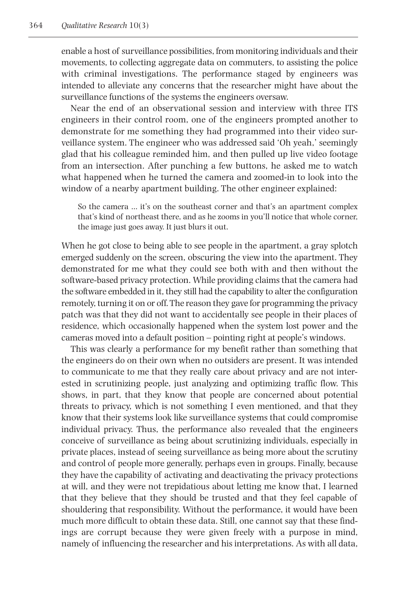enable a host of surveillance possibilities, from monitoring individuals and their movements, to collecting aggregate data on commuters, to assisting the police with criminal investigations. The performance staged by engineers was intended to alleviate any concerns that the researcher might have about the surveillance functions of the systems the engineers oversaw.

Near the end of an observational session and interview with three ITS engineers in their control room, one of the engineers prompted another to demonstrate for me something they had programmed into their video surveillance system. The engineer who was addressed said 'Oh yeah,' seemingly glad that his colleague reminded him, and then pulled up live video footage from an intersection. After punching a few buttons, he asked me to watch what happened when he turned the camera and zoomed-in to look into the window of a nearby apartment building. The other engineer explained:

So the camera … it's on the southeast corner and that's an apartment complex that's kind of northeast there, and as he zooms in you'll notice that whole corner, the image just goes away. It just blurs it out.

When he got close to being able to see people in the apartment, a gray splotch emerged suddenly on the screen, obscuring the view into the apartment. They demonstrated for me what they could see both with and then without the software-based privacy protection. While providing claims that the camera had the software embedded in it, they still had the capability to alter the configuration remotely, turning it on or off. The reason they gave for programming the privacy patch was that they did not want to accidentally see people in their places of residence, which occasionally happened when the system lost power and the cameras moved into a default position – pointing right at people's windows.

This was clearly a performance for my benefit rather than something that the engineers do on their own when no outsiders are present. It was intended to communicate to me that they really care about privacy and are not interested in scrutinizing people, just analyzing and optimizing traffic flow. This shows, in part, that they know that people are concerned about potential threats to privacy, which is not something I even mentioned, and that they know that their systems look like surveillance systems that could compromise individual privacy. Thus, the performance also revealed that the engineers conceive of surveillance as being about scrutinizing individuals, especially in private places, instead of seeing surveillance as being more about the scrutiny and control of people more generally, perhaps even in groups. Finally, because they have the capability of activating and deactivating the privacy protections at will, and they were not trepidatious about letting me know that, I learned that they believe that they should be trusted and that they feel capable of shouldering that responsibility. Without the performance, it would have been much more difficult to obtain these data. Still, one cannot say that these findings are corrupt because they were given freely with a purpose in mind, namely of influencing the researcher and his interpretations. As with all data,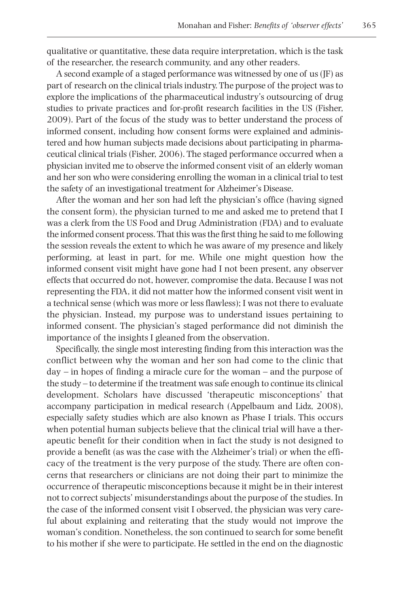qualitative or quantitative, these data require interpretation, which is the task of the researcher, the research community, and any other readers.

A second example of a staged performance was witnessed by one of us(JF) as part of research on the clinical trialsindustry. The purpose of the project wasto explore the implications of the pharmaceutical industry's outsourcing of drug studies to private practices and for-profit research facilities in the US (Fisher, 2009). Part of the focus of the study was to better understand the process of informed consent, including how consent forms were explained and administered and how human subjects made decisions about participating in pharmaceutical clinical trials (Fisher, 2006). The staged performance occurred when a physician invited me to observe the informed consent visit of an elderly woman and her son who were considering enrolling the woman in a clinical trial to test the safety of an investigational treatment for Alzheimer's Disease.

After the woman and her son had left the physician's office (having signed the consent form), the physician turned to me and asked me to pretend that I was a clerk from the US Food and Drug Administration (FDA) and to evaluate the informed consent process.That this wasthe first thing he said to me following the session reveals the extent to which he was aware of my presence and likely performing, at least in part, for me. While one might question how the informed consent visit might have gone had I not been present, any observer effects that occurred do not, however, compromise the data. Because I was not representing the FDA, it did not matter how the informed consent visit went in a technical sense (which was more or less flawless); I was not there to evaluate the physician. Instead, my purpose was to understand issues pertaining to informed consent. The physician's staged performance did not diminish the importance of the insights I gleaned from the observation.

Specifically, the single most interesting finding from this interaction was the conflict between why the woman and her son had come to the clinic that day – in hopes of finding a miracle cure for the woman – and the purpose of the study – to determine if the treatment wassafe enough to continue its clinical development. Scholars have discussed 'therapeutic misconceptions' that accompany participation in medical research (Appelbaum and Lidz, 2008), especially safety studies which are also known as Phase I trials. This occurs when potential human subjects believe that the clinical trial will have a therapeutic benefit for their condition when in fact the study is not designed to provide a benefit (as was the case with the Alzheimer's trial) or when the efficacy of the treatment is the very purpose of the study. There are often concerns that researchers or clinicians are not doing their part to minimize the occurrence of therapeutic misconceptions because it might be in their interest not to correct subjects' misunderstandings about the purpose of the studies. In the case of the informed consent visit I observed, the physician was very careful about explaining and reiterating that the study would not improve the woman's condition. Nonetheless, the son continued to search for some benefit to his mother if she were to participate. He settled in the end on the diagnostic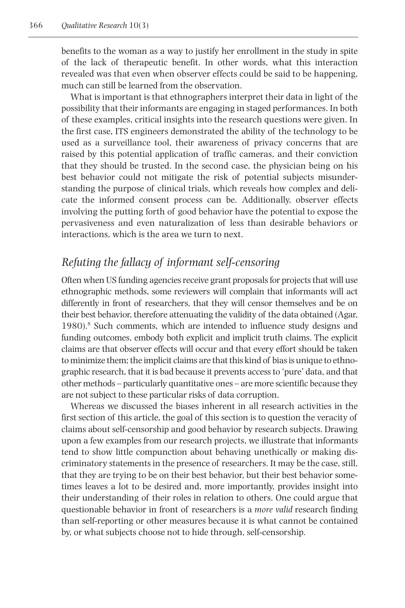benefits to the woman as a way to justify her enrollment in the study in spite of the lack of therapeutic benefit. In other words, what this interaction revealed was that even when observer effects could be said to be happening, much can still be learned from the observation.

What is important is that ethnographers interpret their data in light of the possibility that their informants are engaging in staged performances. In both of these examples, critical insights into the research questions were given. In the first case, ITS engineers demonstrated the ability of the technology to be used as a surveillance tool, their awareness of privacy concerns that are raised by this potential application of traffic cameras, and their conviction that they should be trusted. In the second case, the physician being on his best behavior could not mitigate the risk of potential subjects misunderstanding the purpose of clinical trials, which reveals how complex and delicate the informed consent process can be. Additionally, observer effects involving the putting forth of good behavior have the potential to expose the pervasiveness and even naturalization of less than desirable behaviors or interactions, which is the area we turn to next.

## *Refuting the fallacy of informant self-censoring*

Often when US funding agencies receive grant proposals for projects that will use ethnographic methods, some reviewers will complain that informants will act differently in front of researchers, that they will censor themselves and be on their best behavior, therefore attenuating the validity of the data obtained (Agar, 1980). <sup>8</sup> Such comments, which are intended to influence study designs and funding outcomes, embody both explicit and implicit truth claims. The explicit claims are that observer effects will occur and that every effort should be taken to minimize them; the implicit claims are that this kind of bias is unique to ethnographic research, that it is bad because it prevents access to 'pure' data, and that other methods – particularly quantitative ones – are more scientific because they are not subject to these particular risks of data corruption.

Whereas we discussed the biases inherent in all research activities in the first section of this article, the goal of this section is to question the veracity of claims about self-censorship and good behavior by research subjects. Drawing upon a few examples from our research projects, we illustrate that informants tend to show little compunction about behaving unethically or making discriminatory statements in the presence of researchers. It may be the case, still, that they are trying to be on their best behavior, but their best behavior sometimes leaves a lot to be desired and, more importantly, provides insight into their understanding of their roles in relation to others. One could argue that questionable behavior in front of researchers is a *more valid* research finding than self-reporting or other measures because it is what cannot be contained by, or what subjects choose not to hide through, self-censorship.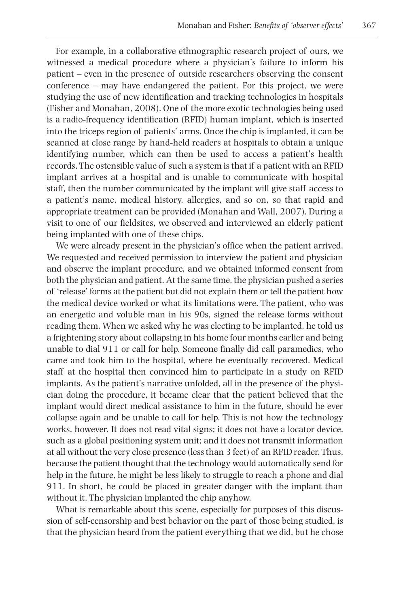For example, in a collaborative ethnographic research project of ours, we witnessed a medical procedure where a physician's failure to inform his patient – even in the presence of outside researchers observing the consent conference – may have endangered the patient. For this project, we were studying the use of new identification and tracking technologies in hospitals (Fisher and Monahan, 2008). One of the more exotic technologies being used is a radio-frequency identification (RFID) human implant, which is inserted into the triceps region of patients' arms. Once the chip is implanted, it can be scanned at close range by hand-held readers at hospitals to obtain a unique identifying number, which can then be used to access a patient's health records. The ostensible value of such a system isthat if a patient with an RFID implant arrives at a hospital and is unable to communicate with hospital staff, then the number communicated by the implant will give staff access to a patient's name, medical history, allergies, and so on, so that rapid and appropriate treatment can be provided (Monahan and Wall, 2007). During a visit to one of our fieldsites, we observed and interviewed an elderly patient being implanted with one of these chips.

We were already present in the physician's office when the patient arrived. We requested and received permission to interview the patient and physician and observe the implant procedure, and we obtained informed consent from both the physician and patient. At the same time, the physician pushed a series of 'release' forms at the patient but did not explain them or tell the patient how the medical device worked or what its limitations were. The patient, who was an energetic and voluble man in his 90s, signed the release forms without reading them. When we asked why he was electing to be implanted, he told us a frightening story about collapsing in his home four months earlier and being unable to dial 911 or call for help. Someone finally did call paramedics, who came and took him to the hospital, where he eventually recovered. Medical staff at the hospital then convinced him to participate in a study on RFID implants. As the patient's narrative unfolded, all in the presence of the physician doing the procedure, it became clear that the patient believed that the implant would direct medical assistance to him in the future, should he ever collapse again and be unable to call for help. This is not how the technology works, however. It does not read vital signs; it does not have a locator device, such as a global positioning system unit; and it does not transmit information at all without the very close presence (lessthan 3 feet) of an RFID reader.Thus, because the patient thought that the technology would automatically send for help in the future, he might be less likely to struggle to reach a phone and dial 911. In short, he could be placed in greater danger with the implant than without it. The physician implanted the chip anyhow.

What is remarkable about this scene, especially for purposes of this discussion of self-censorship and best behavior on the part of those being studied, is that the physician heard from the patient everything that we did, but he chose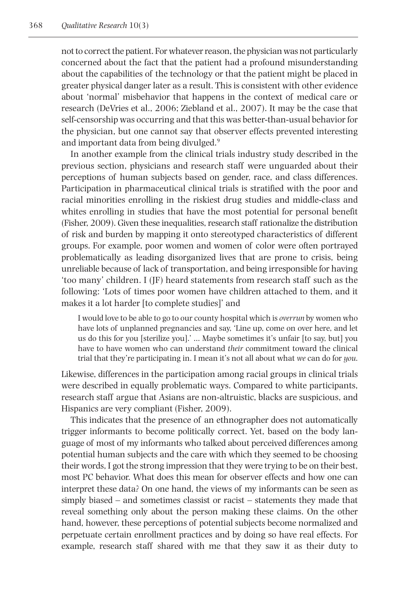not to correct the patient. For whatever reason, the physician was not particularly concerned about the fact that the patient had a profound misunderstanding about the capabilities of the technology or that the patient might be placed in greater physical danger later as a result. This is consistent with other evidence about 'normal' misbehavior that happens in the context of medical care or research (DeVries et al., 2006; Ziebland et al., 2007). It may be the case that self-censorship was occurring and that this was better-than-usual behavior for the physician, but one cannot say that observer effects prevented interesting and important data from being divulged. 9

In another example from the clinical trials industry study described in the previous section, physicians and research staff were unguarded about their perceptions of human subjects based on gender, race, and class differences. Participation in pharmaceutical clinical trials is stratified with the poor and racial minorities enrolling in the riskiest drug studies and middle-class and whites enrolling in studies that have the most potential for personal benefit (Fisher, 2009). Given these inequalities, research staff rationalize the distribution of risk and burden by mapping it onto stereotyped characteristics of different groups. For example, poor women and women of color were often portrayed problematically as leading disorganized lives that are prone to crisis, being unreliable because of lack of transportation, and being irresponsible for having 'too many' children. I (JF) heard statements from research staff such as the following: 'Lots of times poor women have children attached to them, and it makes it a lot harder [to complete studies]' and

I would love to be able to go to our county hospital which is *overrun* by women who have lots of unplanned pregnancies and say, 'Line up, come on over here, and let us do this for you [sterilize you].' … Maybe sometimes it's unfair [to say, but] you have to have women who can understand *their* commitment toward the clinical trial that they're participating in. I mean it's not all about what *we* can do for *you*.

Likewise, differences in the participation among racial groups in clinical trials were described in equally problematic ways. Compared to white participants, research staff argue that Asians are non-altruistic, blacks are suspicious, and Hispanics are very compliant (Fisher, 2009).

This indicates that the presence of an ethnographer does not automatically trigger informants to become politically correct. Yet, based on the body language of most of my informants who talked about perceived differences among potential human subjects and the care with which they seemed to be choosing their words, I got the strong impression that they were trying to be on their best, most PC behavior. What does this mean for observer effects and how one can interpret these data? On one hand, the views of my informants can be seen as simply biased – and sometimes classist or racist – statements they made that reveal something only about the person making these claims. On the other hand, however, these perceptions of potential subjects become normalized and perpetuate certain enrollment practices and by doing so have real effects. For example, research staff shared with me that they saw it as their duty to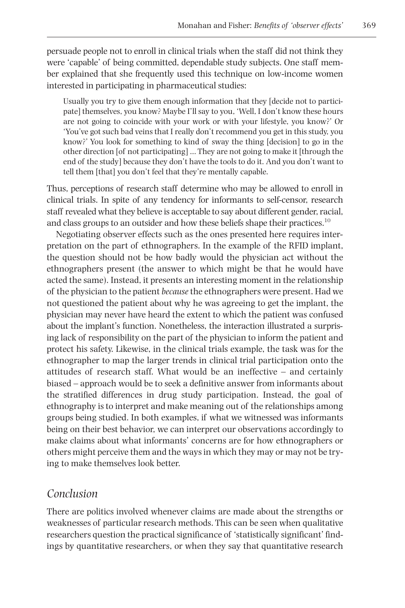persuade people not to enroll in clinical trials when the staff did not think they were 'capable' of being committed, dependable study subjects. One staff member explained that she frequently used this technique on low-income women interested in participating in pharmaceutical studies:

Usually you try to give them enough information that they [decide not to participate] themselves, you know? Maybe I'll say to you, 'Well, I don't know these hours are not going to coincide with your work or with your lifestyle, you know?' Or 'You've got such bad veins that I really don't recommend you get in this study, you know?' You look for something to kind of sway the thing [decision] to go in the other direction [of not participating] … They are not going to make it [through the end of the study] because they don't have the tools to do it. And you don't want to tell them [that] you don't feel that they're mentally capable.

Thus, perceptions of research staff determine who may be allowed to enroll in clinical trials. In spite of any tendency for informants to self-censor, research staff revealed what they believe is acceptable to say about different gender, racial, and class groups to an outsider and how these beliefs shape their practices.  $^{10}$ 

Negotiating observer effects such as the ones presented here requires interpretation on the part of ethnographers. In the example of the RFID implant, the question should not be how badly would the physician act without the ethnographers present (the answer to which might be that he would have acted the same). Instead, it presents an interesting moment in the relationship of the physician to the patient *because*the ethnographers were present. Had we not questioned the patient about why he was agreeing to get the implant, the physician may never have heard the extent to which the patient was confused about the implant's function. Nonetheless, the interaction illustrated a surprising lack of responsibility on the part of the physician to inform the patient and protect his safety. Likewise, in the clinical trials example, the task was for the ethnographer to map the larger trends in clinical trial participation onto the attitudes of research staff. What would be an ineffective – and certainly biased – approach would be to seek a definitive answer from informants about the stratified differences in drug study participation. Instead, the goal of ethnography is to interpret and make meaning out of the relationships among groups being studied. In both examples, if what we witnessed was informants being on their best behavior, we can interpret our observations accordingly to make claims about what informants' concerns are for how ethnographers or others might perceive them and the waysin which they may or may not be trying to make themselves look better.

### *Conclusion*

There are politics involved whenever claims are made about the strengths or weaknesses of particular research methods. This can be seen when qualitative researchers question the practical significance of 'statistically significant' findings by quantitative researchers, or when they say that quantitative research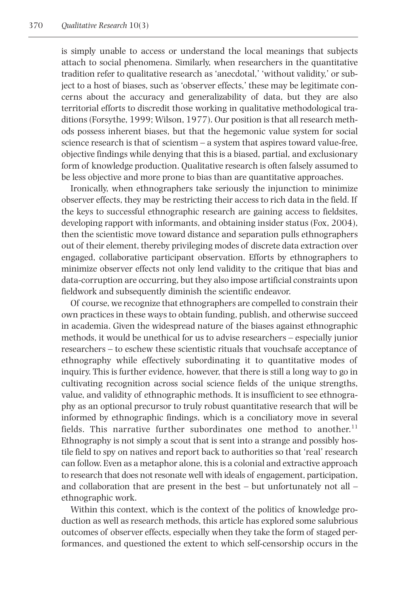is simply unable to access or understand the local meanings that subjects attach to social phenomena. Similarly, when researchers in the quantitative tradition refer to qualitative research as 'anecdotal,' 'without validity,' or subject to a host of biases, such as 'observer effects,' these may be legitimate concerns about the accuracy and generalizability of data, but they are also territorial efforts to discredit those working in qualitative methodological traditions (Forsythe, 1999; Wilson, 1977). Our position is that all research methods possess inherent biases, but that the hegemonic value system for social science research is that of scientism – a system that aspires toward value-free, objective findings while denying that this is a biased, partial, and exclusionary form of knowledge production. Qualitative research is often falsely assumed to be less objective and more prone to bias than are quantitative approaches.

Ironically, when ethnographers take seriously the injunction to minimize observer effects, they may be restricting their access to rich data in the field. If the keys to successful ethnographic research are gaining access to fieldsites, developing rapport with informants, and obtaining insider status (Fox, 2004), then the scientistic move toward distance and separation pulls ethnographers out of their element, thereby privileging modes of discrete data extraction over engaged, collaborative participant observation. Efforts by ethnographers to minimize observer effects not only lend validity to the critique that bias and data-corruption are occurring, but they also impose artificial constraints upon fieldwork and subsequently diminish the scientific endeavor.

Of course, we recognize that ethnographers are compelled to constrain their own practices in these ways to obtain funding, publish, and otherwise succeed in academia. Given the widespread nature of the biases against ethnographic methods, it would be unethical for us to advise researchers – especially junior researchers – to eschew these scientistic rituals that vouchsafe acceptance of ethnography while effectively subordinating it to quantitative modes of inquiry. This is further evidence, however, that there is still a long way to go in cultivating recognition across social science fields of the unique strengths, value, and validity of ethnographic methods. It is insufficient to see ethnography as an optional precursor to truly robust quantitative research that will be informed by ethnographic findings, which is a conciliatory move in several fields. This narrative further subordinates one method to another.<sup>11</sup> Ethnography is not simply a scout that is sent into a strange and possibly hostile field to spy on natives and report back to authorities so that 'real' research can follow. Even as a metaphor alone, this is a colonial and extractive approach to research that does not resonate well with ideals of engagement, participation, and collaboration that are present in the best – but unfortunately not all – ethnographic work.

Within this context, which is the context of the politics of knowledge production as well as research methods, this article has explored some salubrious outcomes of observer effects, especially when they take the form of staged performances, and questioned the extent to which self-censorship occurs in the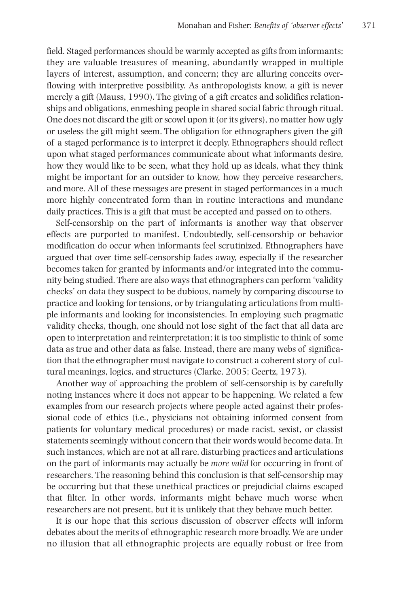field. Staged performances should be warmly accepted as gifts from informants; they are valuable treasures of meaning, abundantly wrapped in multiple layers of interest, assumption, and concern; they are alluring conceits overflowing with interpretive possibility. As anthropologists know, a gift is never merely a gift (Mauss, 1990). The giving of a gift creates and solidifies relationships and obligations, enmeshing people in shared social fabric through ritual. One does not discard the gift or scowl upon it (or its givers), no matter how ugly or useless the gift might seem. The obligation for ethnographers given the gift of a staged performance is to interpret it deeply. Ethnographers should reflect upon what staged performances communicate about what informants desire, how they would like to be seen, what they hold up as ideals, what they think might be important for an outsider to know, how they perceive researchers, and more. All of these messages are present in staged performances in a much more highly concentrated form than in routine interactions and mundane daily practices. This is a gift that must be accepted and passed on to others.

Self-censorship on the part of informants is another way that observer effects are purported to manifest. Undoubtedly, self-censorship or behavior modification do occur when informants feel scrutinized. Ethnographers have argued that over time self-censorship fades away, especially if the researcher becomes taken for granted by informants and/or integrated into the community being studied. There are also waysthat ethnographers can perform 'validity checks' on data they suspect to be dubious, namely by comparing discourse to practice and looking for tensions, or by triangulating articulations from multiple informants and looking for inconsistencies. In employing such pragmatic validity checks, though, one should not lose sight of the fact that all data are open to interpretation and reinterpretation; it is too simplistic to think of some data as true and other data as false. Instead, there are many webs of signification that the ethnographer must navigate to construct a coherent story of cultural meanings, logics, and structures (Clarke, 2005; Geertz, 1973).

Another way of approaching the problem of self-censorship is by carefully noting instances where it does not appear to be happening. We related a few examples from our research projects where people acted against their professional code of ethics (i.e., physicians not obtaining informed consent from patients for voluntary medical procedures) or made racist, sexist, or classist statementsseemingly without concern that their words would become data. In such instances, which are not at allrare, disturbing practices and articulations on the part of informants may actually be *more valid* for occurring in front of researchers. The reasoning behind this conclusion is that self-censorship may be occurring but that these unethical practices or prejudicial claims escaped that filter. In other words, informants might behave much worse when researchers are not present, but it is unlikely that they behave much better.

It is our hope that this serious discussion of observer effects will inform debates about the merits of ethnographic research more broadly. We are under no illusion that all ethnographic projects are equally robust or free from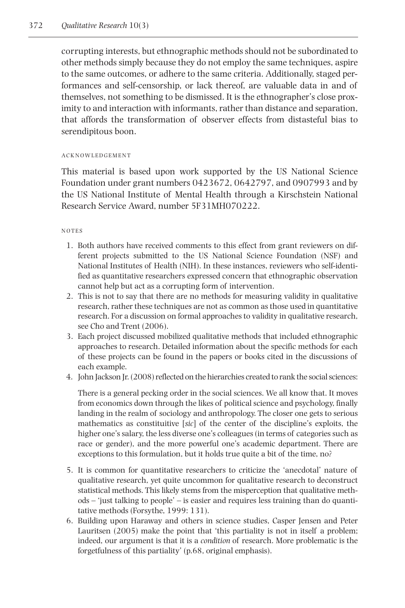corrupting interests, but ethnographic methods should not be subordinated to other methods simply because they do not employ the same techniques, aspire to the same outcomes, or adhere to the same criteria. Additionally, staged performances and self-censorship, or lack thereof, are valuable data in and of themselves, not something to be dismissed. It is the ethnographer's close proximity to and interaction with informants, rather than distance and separation, that affords the transformation of observer effects from distasteful bias to serendipitous boon.

### ACKNOWLEDGEMENT

This material is based upon work supported by the US National Science Foundation under grant numbers 0423672, 0642797, and 0907993 and by the US National Institute of Mental Health through a Kirschstein National Research Service Award, number 5F31MH070222.

#### N O T E S

- 1. Both authors have received comments to this effect from grant reviewers on different projects submitted to the US National Science Foundation (NSF) and National Institutes of Health (NIH). In these instances, reviewers who self-identified as quantitative researchers expressed concern that ethnographic observation cannot help but act as a corrupting form of intervention.
- 2. This is not to say that there are no methods for measuring validity in qualitative research, rather these techniques are not as common as those used in quantitative research. For a discussion on formal approaches to validity in qualitative research, see Cho and Trent (2006).
- 3. Each project discussed mobilized qualitative methods that included ethnographic approaches to research. Detailed information about the specific methods for each of these projects can be found in the papers or books cited in the discussions of each example.
- 4. John Jackson Jr. (2008) reflected on the hierarchies created to rank the social sciences:

There is a general pecking order in the social sciences. We all know that. It moves from economics down through the likes of political science and psychology, finally landing in the realm of sociology and anthropology. The closer one gets to serious mathematics as constituitive [*sic*] of the center of the discipline's exploits, the higher one's salary, the less diverse one's colleagues (in terms of categories such as race or gender), and the more powerful one's academic department. There are exceptions to this formulation, but it holds true quite a bit of the time, no?

- 5. It is common for quantitative researchers to criticize the 'anecdotal' nature of qualitative research, yet quite uncommon for qualitative research to deconstruct statistical methods. This likely stems from the misperception that qualitative methods – 'just talking to people' – is easier and requires less training than do quantitative methods (Forsythe, 1999: 131).
- 6. Building upon Haraway and others in science studies, Casper Jensen and Peter Lauritsen (2005) make the point that 'this partiality is not in itself a problem; indeed, our argument is that it is a *condition* of research. More problematic is the forgetfulness of this partiality' (p.68, original emphasis).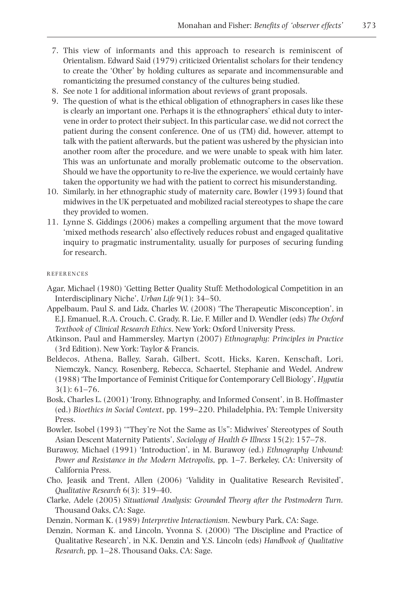- 7. This view of informants and this approach to research is reminiscent of Orientalism. Edward Said (1979) criticized Orientalist scholars for their tendency to create the 'Other' by holding cultures as separate and incommensurable and romanticizing the presumed constancy of the cultures being studied.
- 8. See note 1 for additional information about reviews of grant proposals.
- 9. The question of what is the ethical obligation of ethnographers in cases like these is clearly an important one. Perhaps it is the ethnographers' ethical duty to intervene in order to protect their subject. In this particular case, we did not correct the patient during the consent conference. One of us (TM) did, however, attempt to talk with the patient afterwards, but the patient was ushered by the physician into another room after the procedure, and we were unable to speak with him later. This was an unfortunate and morally problematic outcome to the observation. Should we have the opportunity to re-live the experience, we would certainly have taken the opportunity we had with the patient to correct his misunderstanding.
- 10. Similarly, in her ethnographic study of maternity care, Bowler (1993) found that midwives in the UK perpetuated and mobilized racial stereotypes to shape the care they provided to women.
- 11. Lynne S. Giddings (2006) makes a compelling argument that the move toward 'mixed methods research' also effectively reduces robust and engaged qualitative inquiry to pragmatic instrumentality, usually for purposes of securing funding for research.

#### R E F E R E N C E S

- Agar, Michael (1980) 'Getting Better Quality Stuff: Methodological Competition in an Interdisciplinary Niche', *Urban Life* 9(1): 34–50.
- Appelbaum, Paul S. and Lidz, Charles W. (2008) 'The Therapeutic Misconception', in E.J. Emanuel, R.A. Crouch, C. Grady, R. Lie, F. Miller and D. Wendler (eds) *The Oxford Textbook of Clinical Research Ethics*. New York: Oxford University Press.
- Atkinson, Paul and Hammersley, Martyn (2007) *Ethnography: Principles in Practice* (3rd Edition). New York: Taylor & Francis.
- Beldecos, Athena, Balley, Sarah, Gilbert, Scott, Hicks, Karen, Kenschaft, Lori, Niemczyk, Nancy, Rosenberg, Rebecca, Schaertel, Stephanie and Wedel, Andrew (1988) 'The Importance of Feminist Critique for Contemporary Cell Biology', *Hypatia* 3(1): 61–76.
- Bosk, Charles L. (2001) 'Irony, Ethnography, and Informed Consent', in B. Hoffmaster (ed.) *Bioethics in Social Context*, pp. 199–220. Philadelphia, PA: Temple University Press.
- Bowler, Isobel (1993) '"They're Not the Same as Us": Midwives' Stereotypes of South Asian Descent Maternity Patients', *Sociology of Health & Illness* 15(2): 157–78.
- Burawoy, Michael (1991) 'Introduction', in M. Burawoy (ed.) *Ethnography Unbound: Power and Resistance in the Modern Metropolis*, pp. 1–7. Berkeley, CA: University of California Press.
- Cho, Jeasik and Trent, Allen (2006) 'Validity in Qualitative Research Revisited', *Qualitative Research* 6(3): 319–40.
- Clarke, Adele (2005) *Situational Analysis: Grounded Theory after the Postmodern Turn*. Thousand Oaks, CA: Sage.
- Denzin, Norman K. (1989) *Interpretive Interactionism*. Newbury Park, CA: Sage.
- Denzin, Norman K. and Lincoln, Yvonna S. (2000) 'The Discipline and Practice of Qualitative Research', in N.K. Denzin and Y.S. Lincoln (eds) *Handbook of Qualitative Research*, pp. 1–28. Thousand Oaks, CA: Sage.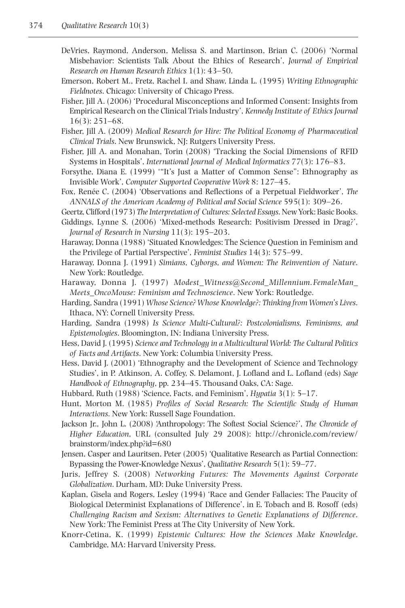- DeVries, Raymond, Anderson, Melissa S. and Martinson, Brian C. (2006) 'Normal Misbehavior: Scientists Talk About the Ethics of Research', *Journal of Empirical Research on Human Research Ethics* 1(1): 43–50.
- Emerson, Robert M., Fretz, Rachel I. and Shaw, Linda L. (1995) *Writing Ethnographic Fieldnotes*. Chicago: University of Chicago Press.
- Fisher, Jill A. (2006) 'Procedural Misconceptions and Informed Consent: Insights from Empirical Research on the Clinical Trials Industry', *Kennedy Institute of Ethics Journal* 16(3): 251–68.
- Fisher, Jill A. (2009) *Medical Research for Hire: The Political Economy of Pharmaceutical Clinical Trials*. New Brunswick, NJ: Rutgers University Press.
- Fisher, Jill A. and Monahan, Torin (2008) 'Tracking the Social Dimensions of RFID Systems in Hospitals', *International Journal of Medical Informatics* 77(3): 176–83.
- Forsythe, Diana E. (1999) '"It's Just a Matter of Common Sense": Ethnography as Invisible Work', *Computer Supported Cooperative Work* 8: 127–45.
- Fox, Renée C. (2004) 'Observations and Reflections of a Perpetual Fieldworker', *The ANNALS of the American Academy of Political and Social Science* 595(1): 309–26.
- Geertz, Clifford (1973) *The Interpretation of Cultures: Selected Essays. New York: Basic Books.*
- Giddings, Lynne S. (2006) 'Mixed-methods Research: Positivism Dressed in Drag?', *Journal of Research in Nursing* 11(3): 195–203.

Haraway, Donna (1988) 'Situated Knowledges: The Science Question in Feminism and the Privilege of Partial Perspective', *Feminist Studies* 14(3): 575–99.

- Haraway, Donna J. (1991) *Simians, Cyborgs, and Women: The Reinvention of Nature*. New York: Routledge.
- Haraway, Donna J. (1997) *Modest\_Witness@Second\_Millennium.FemaleMan\_ Meets\_OncoMouse: Feminism and Technoscience*. New York: Routledge.
- Harding, Sandra (1991) *Whose Science?Whose Knowledge?: Thinking fromWomen's Lives*. Ithaca, NY: Cornell University Press.
- Harding, Sandra (1998) *Is Science Multi-Cultural?: Postcolonialisms, Feminisms, and Epistemologies*. Bloomington, IN: Indiana University Press.
- Hess, David J. (1995) *Science and Technology in a Multicultural World: The Cultural Politics of Facts and Artifacts*. New York: Columbia University Press.
- Hess, David J. (2001) 'Ethnography and the Development of Science and Technology Studies', in P. Atkinson, A. Coffey, S. Delamont, J. Lofland and L. Lofland (eds) *Sage Handbook of Ethnography*, pp. 234–45. Thousand Oaks, CA: Sage.
- Hubbard, Ruth (1988) 'Science, Facts, and Feminism', *Hypatia* 3(1): 5–17.
- Hunt, Morton M. (1985) *Profiles of Social Research: The Scientific Study of Human Interactions*. New York: Russell Sage Foundation.
- Jackson Jr., John L. (2008) 'Anthropology: The Softest Social Science?', *The Chronicle of Higher Education*, URL (consulted July 29 2008): http://chronicle.com/review/ brainstorm/index.php?id=680
- Jensen, Casper and Lauritsen, Peter (2005) 'Qualitative Research as Partial Connection: Bypassing the Power-Knowledge Nexus', *Qualitative Research* 5(1): 59–77.
- Juris, Jeffrey S. (2008) *Networking Futures: The Movements Against Corporate Globalization*. Durham, MD: Duke University Press.
- Kaplan, Gisela and Rogers, Lesley (1994) 'Race and Gender Fallacies: The Paucity of Biological Determinist Explanations of Difference', in E. Tobach and B. Rosoff (eds) *Challenging Racism and Sexism: Alternatives to Genetic Explanations of Difference*. New York: The Feminist Press at The City University of New York.
- Knorr-Cetina, K. (1999) *Epistemic Cultures: How the Sciences Make Knowledge*. Cambridge, MA: Harvard University Press.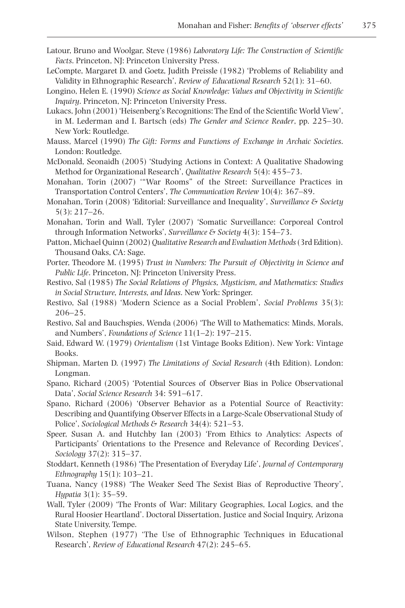- Latour, Bruno and Woolgar, Steve (1986) *Laboratory Life: The Construction of Scientific Facts*. Princeton, NJ: Princeton University Press.
- LeCompte, Margaret D. and Goetz, Judith Preissle (1982) 'Problems of Reliability and Validity in Ethnographic Research', *Review of Educational Research* 52(1): 31–60.
- Longino, Helen E. (1990) *Science as Social Knowledge: Values and Objectivity in Scientific Inquiry*. Princeton, NJ: Princeton University Press.
- Lukacs, John (2001) 'Heisenberg's Recognitions: The End of the Scientific World View', in M. Lederman and I. Bartsch (eds) *The Gender and Science Reader*, pp. 225–30. New York: Routledge.
- Mauss, Marcel (1990) *The Gift: Forms and Functions of Exchange in Archaic Societies*. London: Routledge.
- McDonald, Seonaidh (2005) 'Studying Actions in Context: A Qualitative Shadowing Method for Organizational Research', *Qualitative Research* 5(4): 455–73.
- Monahan, Torin (2007) '"War Rooms" of the Street: Surveillance Practices in Transportation Control Centers', *The Communication Review* 10(4): 367–89.
- Monahan, Torin (2008) 'Editorial: Surveillance and Inequality', *Surveillance & Society* 5(3): 217–26.
- Monahan, Torin and Wall, Tyler (2007) 'Somatic Surveillance: Corporeal Control through Information Networks', *Surveillance & Society* 4(3): 154–73.
- Patton, Michael Quinn (2002) *Qualitative Research and Evaluation Methods*(3rd Edition). Thousand Oaks, CA: Sage.
- Porter, Theodore M. (1995) *Trust in Numbers: The Pursuit of Objectivity in Science and Public Life*. Princeton, NJ: Princeton University Press.
- Restivo, Sal (1985) *The Social Relations of Physics, Mysticism, and Mathematics: Studies in Social Structure, Interests, and Ideas*. New York: Springer.
- Restivo, Sal (1988) 'Modern Science as a Social Problem', *Social Problems* 35(3): 206–25.
- Restivo, Sal and Bauchspies, Wenda (2006) 'The Will to Mathematics: Minds, Morals, and Numbers', *Foundations of Science* 11(1–2): 197–215.
- Said, Edward W. (1979) *Orientalism* (1st Vintage Books Edition). New York: Vintage Books.
- Shipman, Marten D. (1997) *The Limitations of Social Research* (4th Edition). London: Longman.
- Spano, Richard (2005) 'Potential Sources of Observer Bias in Police Observational Data', *Social Science Research* 34: 591–617.
- Spano, Richard (2006) 'Observer Behavior as a Potential Source of Reactivity: Describing and Quantifying Observer Effects in a Large-Scale Observational Study of Police', *Sociological Methods & Research* 34(4): 521–53.
- Speer, Susan A. and Hutchby Ian (2003) 'From Ethics to Analytics: Aspects of Participants' Orientations to the Presence and Relevance of Recording Devices', *Sociology* 37(2): 315–37.
- Stoddart, Kenneth (1986) 'The Presentation of Everyday Life', *Journal of Contemporary Ethnography* 15(1): 103–21.
- Tuana, Nancy (1988) 'The Weaker Seed The Sexist Bias of Reproductive Theory', *Hypatia* 3(1): 35–59.
- Wall, Tyler (2009) 'The Fronts of War: Military Geographies, Local Logics, and the Rural Hoosier Heartland'. Doctoral Dissertation, Justice and Social Inquiry, Arizona State University, Tempe.
- Wilson, Stephen (1977) 'The Use of Ethnographic Techniques in Educational Research', *Review of Educational Research* 47(2): 245–65.